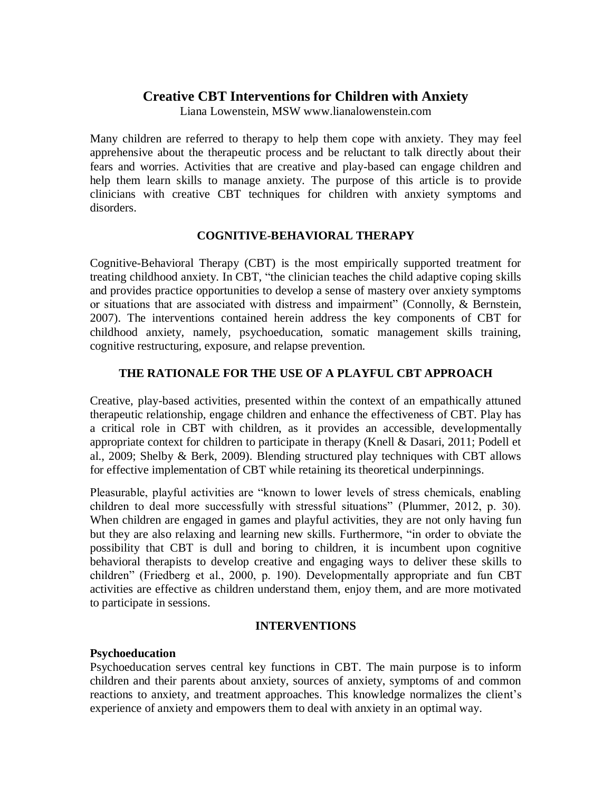# **Creative CBT Interventions for Children with Anxiety**

Liana Lowenstein, MSW www.lianalowenstein.com

Many children are referred to therapy to help them cope with anxiety. They may feel apprehensive about the therapeutic process and be reluctant to talk directly about their fears and worries. Activities that are creative and play-based can engage children and help them learn skills to manage anxiety. The purpose of this article is to provide clinicians with creative CBT techniques for children with anxiety symptoms and disorders.

## **COGNITIVE-BEHAVIORAL THERAPY**

Cognitive-Behavioral Therapy (CBT) is the most empirically supported treatment for treating childhood anxiety. In CBT, "the clinician teaches the child adaptive coping skills and provides practice opportunities to develop a sense of mastery over anxiety symptoms or situations that are associated with distress and impairment" (Connolly, & Bernstein, 2007). The interventions contained herein address the key components of CBT for childhood anxiety, namely, psychoeducation, somatic management skills training, cognitive restructuring, exposure, and relapse prevention.

# **THE RATIONALE FOR THE USE OF A PLAYFUL CBT APPROACH**

Creative, play-based activities, presented within the context of an empathically attuned therapeutic relationship, engage children and enhance the effectiveness of CBT. Play has a critical role in CBT with children, as it provides an accessible, developmentally appropriate context for children to participate in therapy (Knell & Dasari, 2011; Podell et al., 2009; Shelby & Berk, 2009). Blending structured play techniques with CBT allows for effective implementation of CBT while retaining its theoretical underpinnings.

Pleasurable, playful activities are "known to lower levels of stress chemicals, enabling children to deal more successfully with stressful situations" (Plummer, 2012, p. 30). When children are engaged in games and playful activities, they are not only having fun but they are also relaxing and learning new skills. Furthermore, "in order to obviate the possibility that CBT is dull and boring to children, it is incumbent upon cognitive behavioral therapists to develop creative and engaging ways to deliver these skills to children" (Friedberg et al., 2000, p. 190). Developmentally appropriate and fun CBT activities are effective as children understand them, enjoy them, and are more motivated to participate in sessions.

# **INTERVENTIONS**

# **Psychoeducation**

Psychoeducation serves central key functions in CBT. The main purpose is to inform children and their parents about anxiety, sources of anxiety, symptoms of and common reactions to anxiety, and treatment approaches. This knowledge normalizes the client's experience of anxiety and empowers them to deal with anxiety in an optimal way.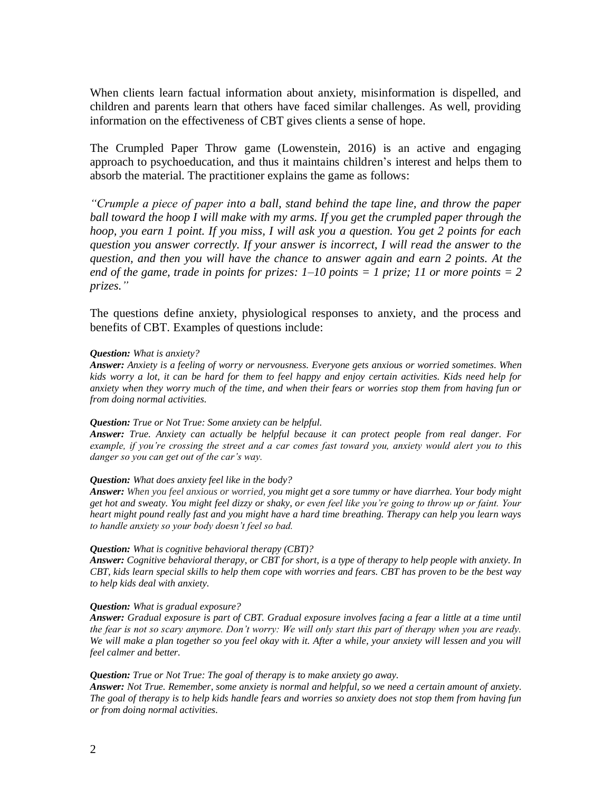When clients learn factual information about anxiety, misinformation is dispelled, and children and parents learn that others have faced similar challenges. As well, providing information on the effectiveness of CBT gives clients a sense of hope.

The Crumpled Paper Throw game (Lowenstein, 2016) is an active and engaging approach to psychoeducation, and thus it maintains children's interest and helps them to absorb the material. The practitioner explains the game as follows:

*"Crumple a piece of paper into a ball, stand behind the tape line, and throw the paper*  ball toward the hoop I will make with my arms. If you get the crumpled paper through the *hoop, you earn 1 point. If you miss, I will ask you a question. You get 2 points for each question you answer correctly. If your answer is incorrect, I will read the answer to the question, and then you will have the chance to answer again and earn 2 points. At the end of the game, trade in points for prizes: 1–10 points = 1 prize; 11 or more points = 2 prizes."* 

The questions define anxiety, physiological responses to anxiety, and the process and benefits of CBT. Examples of questions include:

#### *Question: What is anxiety?*

*Answer: Anxiety is a feeling of worry or nervousness. Everyone gets anxious or worried sometimes. When kids worry a lot, it can be hard for them to feel happy and enjoy certain activities. Kids need help for anxiety when they worry much of the time, and when their fears or worries stop them from having fun or from doing normal activities.* 

#### *Question: True or Not True: Some anxiety can be helpful.*

*Answer: True. Anxiety can actually be helpful because it can protect people from real danger. For example, if you're crossing the street and a car comes fast toward you, anxiety would alert you to this danger so you can get out of the car's way.* 

#### *Question: What does anxiety feel like in the body?*

*Answer: When you feel anxious or worried, you might get a sore tummy or have diarrhea. Your body might get hot and sweaty. You might feel dizzy or shaky, or even feel like you're going to throw up or faint. Your heart might pound really fast and you might have a hard time breathing. Therapy can help you learn ways to handle anxiety so your body doesn't feel so bad.* 

### *Question: What is cognitive behavioral therapy (CBT)?*

*Answer: Cognitive behavioral therapy, or CBT for short, is a type of therapy to help people with anxiety. In CBT, kids learn special skills to help them cope with worries and fears. CBT has proven to be the best way to help kids deal with anxiety.* 

### *Question: What is gradual exposure?*

*Answer: Gradual exposure is part of CBT. Gradual exposure involves facing a fear a little at a time until the fear is not so scary anymore. Don't worry: We will only start this part of therapy when you are ready. We will make a plan together so you feel okay with it. After a while, your anxiety will lessen and you will feel calmer and better.*

#### *Question: True or Not True: The goal of therapy is to make anxiety go away.*

*Answer: Not True. Remember, some anxiety is normal and helpful, so we need a certain amount of anxiety. The goal of therapy is to help kids handle fears and worries so anxiety does not stop them from having fun or from doing normal activities.*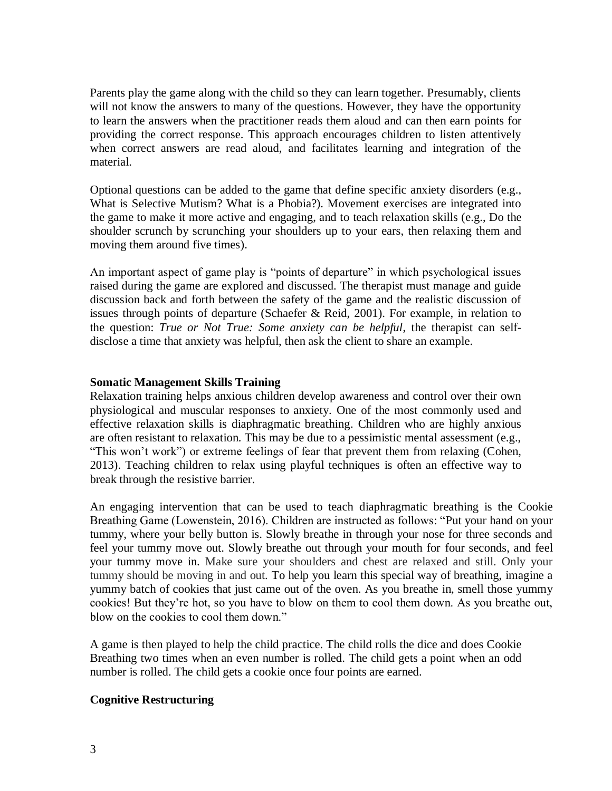Parents play the game along with the child so they can learn together. Presumably, clients will not know the answers to many of the questions. However, they have the opportunity to learn the answers when the practitioner reads them aloud and can then earn points for providing the correct response. This approach encourages children to listen attentively when correct answers are read aloud, and facilitates learning and integration of the material.

Optional questions can be added to the game that define specific anxiety disorders (e.g., What is Selective Mutism? What is a Phobia?). Movement exercises are integrated into the game to make it more active and engaging, and to teach relaxation skills (e.g., Do the shoulder scrunch by scrunching your shoulders up to your ears, then relaxing them and moving them around five times).

An important aspect of game play is "points of departure" in which psychological issues raised during the game are explored and discussed. The therapist must manage and guide discussion back and forth between the safety of the game and the realistic discussion of issues through points of departure (Schaefer & Reid, 2001). For example, in relation to the question: *True or Not True: Some anxiety can be helpful*, the therapist can selfdisclose a time that anxiety was helpful, then ask the client to share an example.

## **Somatic Management Skills Training**

Relaxation training helps anxious children develop awareness and control over their own physiological and muscular responses to anxiety. One of the most commonly used and effective relaxation skills is diaphragmatic breathing. Children who are highly anxious are often resistant to relaxation. This may be due to a pessimistic mental assessment (e.g., "This won't work") or extreme feelings of fear that prevent them from relaxing (Cohen, 2013). Teaching children to relax using playful techniques is often an effective way to break through the resistive barrier.

An engaging intervention that can be used to teach diaphragmatic breathing is the Cookie Breathing Game (Lowenstein, 2016). Children are instructed as follows: "Put your hand on your tummy, where your belly button is. Slowly breathe in through your nose for three seconds and feel your tummy move out. Slowly breathe out through your mouth for four seconds, and feel your tummy move in. Make sure your shoulders and chest are relaxed and still. Only your tummy should be moving in and out. To help you learn this special way of breathing, imagine a yummy batch of cookies that just came out of the oven. As you breathe in, smell those yummy cookies! But they're hot, so you have to blow on them to cool them down. As you breathe out, blow on the cookies to cool them down."

A game is then played to help the child practice. The child rolls the dice and does Cookie Breathing two times when an even number is rolled. The child gets a point when an odd number is rolled. The child gets a cookie once four points are earned.

## **Cognitive Restructuring**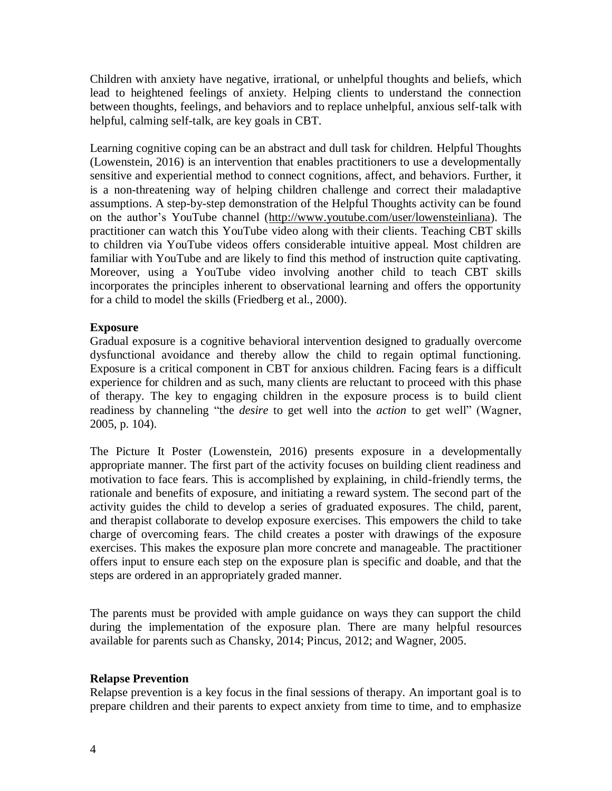Children with anxiety have negative, irrational, or unhelpful thoughts and beliefs, which lead to heightened feelings of anxiety. Helping clients to understand the connection between thoughts, feelings, and behaviors and to replace unhelpful, anxious self-talk with helpful, calming self-talk, are key goals in CBT.

Learning cognitive coping can be an abstract and dull task for children. Helpful Thoughts (Lowenstein, 2016) is an intervention that enables practitioners to use a developmentally sensitive and experiential method to connect cognitions, affect, and behaviors. Further, it is a non-threatening way of helping children challenge and correct their maladaptive assumptions. A step-by-step demonstration of the Helpful Thoughts activity can be found on the author's YouTube channel [\(http://www.youtube.com/user/lowensteinliana\)](http://www.youtube.com/user/lowensteinliana). The practitioner can watch this YouTube video along with their clients. Teaching CBT skills to children via YouTube videos offers considerable intuitive appeal. Most children are familiar with YouTube and are likely to find this method of instruction quite captivating. Moreover, using a YouTube video involving another child to teach CBT skills incorporates the principles inherent to observational learning and offers the opportunity for a child to model the skills (Friedberg et al., 2000).

## **Exposure**

Gradual exposure is a cognitive behavioral intervention designed to gradually overcome dysfunctional avoidance and thereby allow the child to regain optimal functioning. Exposure is a critical component in CBT for anxious children. Facing fears is a difficult experience for children and as such, many clients are reluctant to proceed with this phase of therapy. The key to engaging children in the exposure process is to build client readiness by channeling "the *desire* to get well into the *action* to get well" (Wagner, 2005, p. 104).

The Picture It Poster (Lowenstein, 2016) presents exposure in a developmentally appropriate manner. The first part of the activity focuses on building client readiness and motivation to face fears. This is accomplished by explaining, in child-friendly terms, the rationale and benefits of exposure, and initiating a reward system. The second part of the activity guides the child to develop a series of graduated exposures. The child, parent, and therapist collaborate to develop exposure exercises. This empowers the child to take charge of overcoming fears. The child creates a poster with drawings of the exposure exercises. This makes the exposure plan more concrete and manageable. The practitioner offers input to ensure each step on the exposure plan is specific and doable, and that the steps are ordered in an appropriately graded manner.

The parents must be provided with ample guidance on ways they can support the child during the implementation of the exposure plan. There are many helpful resources available for parents such as Chansky, 2014; Pincus, 2012; and Wagner, 2005.

## **Relapse Prevention**

Relapse prevention is a key focus in the final sessions of therapy. An important goal is to prepare children and their parents to expect anxiety from time to time, and to emphasize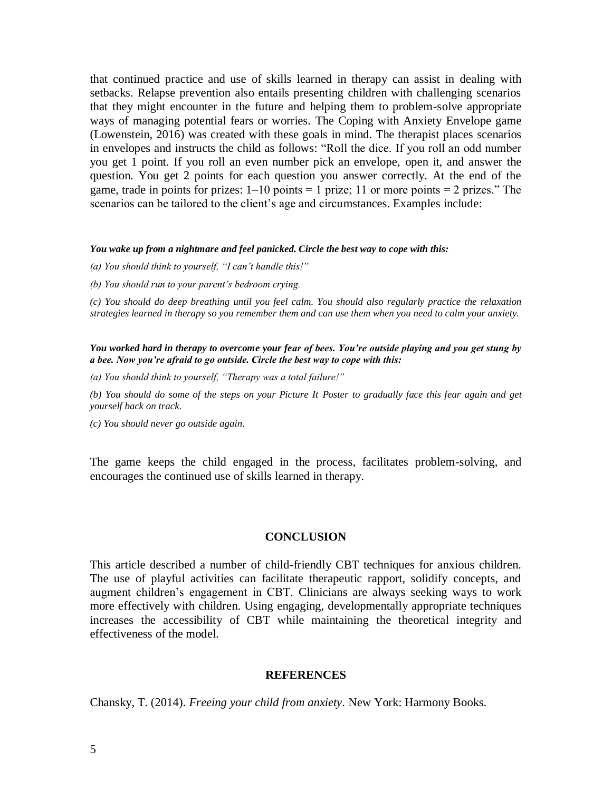that continued practice and use of skills learned in therapy can assist in dealing with setbacks. Relapse prevention also entails presenting children with challenging scenarios that they might encounter in the future and helping them to problem-solve appropriate ways of managing potential fears or worries. The Coping with Anxiety Envelope game (Lowenstein, 2016) was created with these goals in mind. The therapist places scenarios in envelopes and instructs the child as follows: "Roll the dice. If you roll an odd number you get 1 point. If you roll an even number pick an envelope, open it, and answer the question. You get 2 points for each question you answer correctly. At the end of the game, trade in points for prizes:  $1-10$  points  $= 1$  prize; 11 or more points  $= 2$  prizes." The scenarios can be tailored to the client's age and circumstances. Examples include:

#### *You wake up from a nightmare and feel panicked. Circle the best way to cope with this:*

*(a) You should think to yourself, "I can't handle this!"* 

*(b) You should run to your parent's bedroom crying.*

*(c) You should do deep breathing until you feel calm. You should also regularly practice the relaxation strategies learned in therapy so you remember them and can use them when you need to calm your anxiety.* 

*You worked hard in therapy to overcome your fear of bees. You're outside playing and you get stung by a bee. Now you're afraid to go outside. Circle the best way to cope with this:*

*(a) You should think to yourself, "Therapy was a total failure!"* 

*(b) You should do some of the steps on your Picture It Poster to gradually face this fear again and get yourself back on track.* 

*(c) You should never go outside again.* 

The game keeps the child engaged in the process, facilitates problem-solving, and encourages the continued use of skills learned in therapy.

#### **CONCLUSION**

This article described a number of child-friendly CBT techniques for anxious children. The use of playful activities can facilitate therapeutic rapport, solidify concepts, and augment children's engagement in CBT. Clinicians are always seeking ways to work more effectively with children. Using engaging, developmentally appropriate techniques increases the accessibility of CBT while maintaining the theoretical integrity and effectiveness of the model.

### **REFERENCES**

Chansky, T. (2014). *Freeing your child from anxiety*. New York: Harmony Books.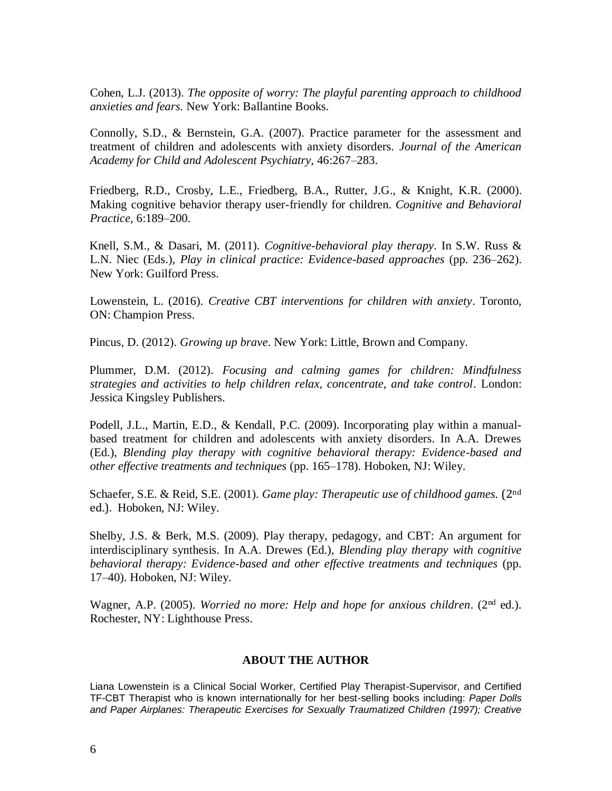Cohen, L.J. (2013). *The opposite of worry: The playful parenting approach to childhood anxieties and fears.* New York: Ballantine Books.

Connolly, S.D., & Bernstein, G.A. (2007). Practice parameter for the assessment and treatment of children and adolescents with anxiety disorders. *Journal of the American Academy for Child and Adolescent Psychiatry,* 46:267–283.

Friedberg, R.D., Crosby, L.E., Friedberg, B.A., Rutter, J.G., & Knight, K.R. (2000). Making cognitive behavior therapy user-friendly for children. *Cognitive and Behavioral Practice,* 6:189–200.

Knell, S.M., & Dasari, M. (2011). *Cognitive-behavioral play therapy*. In S.W. Russ & L.N. Niec (Eds.), *Play in clinical practice: Evidence-based approaches* (pp. 236–262). New York: Guilford Press.

Lowenstein, L. (2016). *Creative CBT interventions for children with anxiety*. Toronto, ON: Champion Press.

Pincus, D. (2012). *Growing up brave*. New York: Little, Brown and Company.

Plummer, D.M. (2012). *Focusing and calming games for children: Mindfulness strategies and activities to help children relax, concentrate, and take control*. London: Jessica Kingsley Publishers.

Podell, J.L., Martin, E.D., & Kendall, P.C. (2009). Incorporating play within a manualbased treatment for children and adolescents with anxiety disorders. In A.A. Drewes (Ed.), *Blending play therapy with cognitive behavioral therapy: Evidence-based and other effective treatments and techniques* (pp. 165–178). Hoboken, NJ: Wiley.

Schaefer, S.E. & Reid, S.E. (2001). *Game play: Therapeutic use of childhood games.* (2nd ed.). Hoboken, NJ: Wiley.

Shelby, J.S. & Berk, M.S. (2009). Play therapy, pedagogy, and CBT: An argument for interdisciplinary synthesis. In A.A. Drewes (Ed.), *Blending play therapy with cognitive behavioral therapy: Evidence-based and other effective treatments and techniques* (pp. 17–40). Hoboken, NJ: Wiley.

Wagner, A.P. (2005). *Worried no more: Help and hope for anxious children*. (2nd ed.). Rochester, NY: Lighthouse Press.

### **ABOUT THE AUTHOR**

Liana Lowenstein is a Clinical Social Worker, Certified Play Therapist-Supervisor, and Certified TF-CBT Therapist who is known internationally for her best-selling books including: *Paper Dolls and Paper Airplanes: Therapeutic Exercises for Sexually Traumatized Children (1997); Creative*